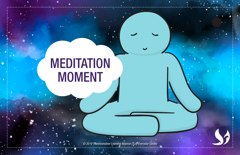## **MEDITATION** MOMENT

*© 2019 Transformative Learning Alliance (TLA) Everyday Circles*